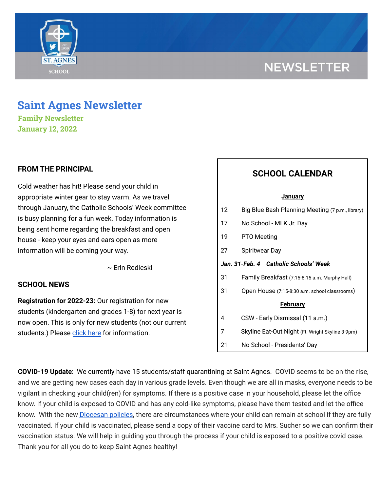# **NEWSLETTER**



# **Saint Agnes Newsletter**

**Family Newsletter January 12, 2022**

### **FROM THE PRINCIPAL**

Cold weather has hit! Please send your child in appropriate winter gear to stay warm. As we travel through January, the Catholic Schools' Week committee is busy planning for a fun week. Today information is being sent home regarding the breakfast and open house - keep your eyes and ears open as more information will be coming your way.

~ Erin Redleski

### **SCHOOL NEWS**

**Registration for 2022-23:** Our registration for new students (kindergarten and grades 1-8) for next year is now open. This is only for new students (not our current students.) Please [click](https://school.saintagnes.com/admission/) here for information.

## **SCHOOL CALENDAR**

#### **January**

| 12                                    | Big Blue Bash Planning Meeting (7 p.m., library) |
|---------------------------------------|--------------------------------------------------|
| 17                                    | No School - MLK Jr. Day                          |
| 19                                    | PTO Meeting                                      |
| 27                                    | Spiritwear Day                                   |
| Jan. 31-Feb. 4 Catholic Schools' Week |                                                  |
| 31                                    | Family Breakfast (7:15-8:15 a.m. Murphy Hall)    |
| 31                                    | Open House (7:15-8:30 a.m. school classrooms)    |
| <b>February</b>                       |                                                  |
| 4                                     | CSW - Early Dismissal (11 a.m.)                  |
| 7                                     | Skyline Eat-Out Night (Ft. Wright Skyline 3-9pm) |
| 21                                    | No School - Presidents' Day                      |

**COVID-19 Update**: We currently have 15 students/staff quarantining at Saint Agnes. COVID seems to be on the rise, and we are getting new cases each day in various grade levels. Even though we are all in masks, everyone needs to be vigilant in checking your child(ren) for symptoms. If there is a positive case in your household, please let the office know. If your child is exposed to COVID and has any cold-like symptoms, please have them tested and let the office know. With the new [Diocesan](https://school.saintagnes.com/wp-content/uploads/2022/01/COVID-19-School-Requirements-2021-2022-January-Update.pdf) policies, there are circumstances where your child can remain at school if they are fully vaccinated. If your child is vaccinated, please send a copy of their vaccine card to Mrs. Sucher so we can confirm their vaccination status. We will help in guiding you through the process if your child is exposed to a positive covid case. Thank you for all you do to keep Saint Agnes healthy!